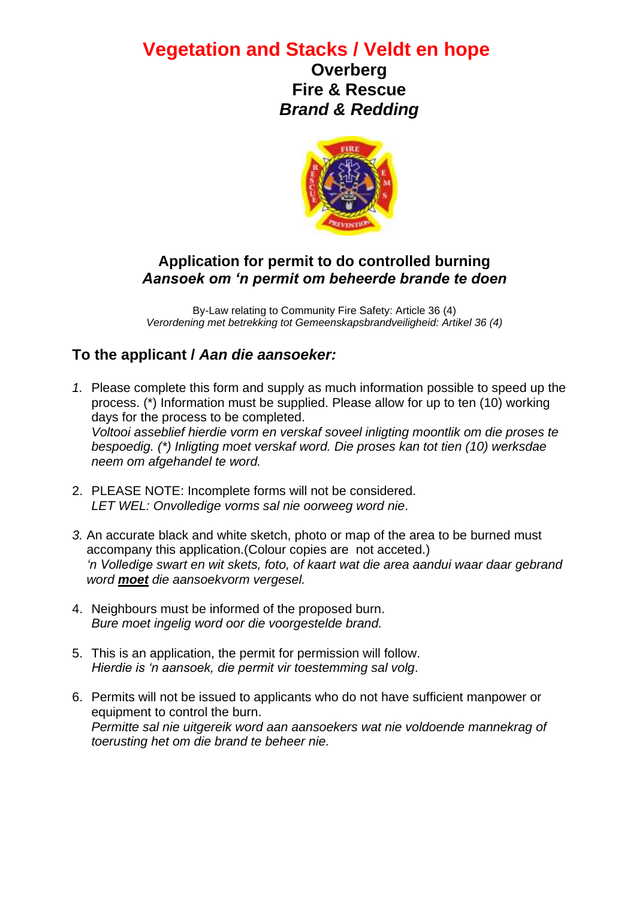# **Vegetation and Stacks / Veldt en hope**

**Overberg Fire & Rescue** *Brand & Redding*



### **Application for permit to do controlled burning** *Aansoek om 'n permit om beheerde brande te doen*

By-Law relating to Community Fire Safety: Article 36 (4) *Verordening met betrekking tot Gemeenskapsbrandveiligheid: Artikel 36 (4)*

## **To the applicant /** *Aan die aansoeker:*

- *1.* Please complete this form and supply as much information possible to speed up the process. (\*) Information must be supplied. Please allow for up to ten (10) working days for the process to be completed. *Voltooi asseblief hierdie vorm en verskaf soveel inligting moontlik om die proses te bespoedig. (\*) Inligting moet verskaf word. Die proses kan tot tien (10) werksdae neem om afgehandel te word.*
- 2. PLEASE NOTE: Incomplete forms will not be considered. *LET WEL: Onvolledige vorms sal nie oorweeg word nie*.
- *3.* An accurate black and white sketch, photo or map of the area to be burned must accompany this application.(Colour copies are not acceted.) *'n Volledige swart en wit skets, foto, of kaart wat die area aandui waar daar gebrand word moet die aansoekvorm vergesel.*
- 4. Neighbours must be informed of the proposed burn. *Bure moet ingelig word oor die voorgestelde brand.*
- 5. This is an application, the permit for permission will follow. *Hierdie is 'n aansoek, die permit vir toestemming sal volg*.
- 6. Permits will not be issued to applicants who do not have sufficient manpower or equipment to control the burn. *Permitte sal nie uitgereik word aan aansoekers wat nie voldoende mannekrag of toerusting het om die brand te beheer nie.*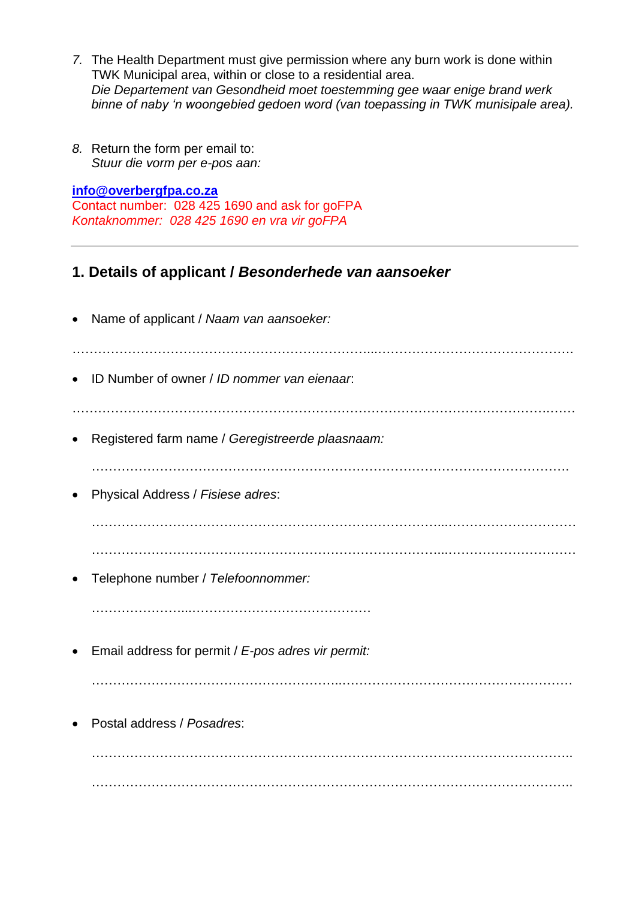- *7.* The Health Department must give permission where any burn work is done within TWK Municipal area, within or close to a residential area. *Die Departement van Gesondheid moet toestemming gee waar enige brand werk binne of naby 'n woongebied gedoen word (van toepassing in TWK munisipale area).*
- *8.* Return the form per email to: *Stuur die vorm per e-pos aan:*

**[info@overbergfpa.co.za](mailto:info@overbergfpa.co.za)** Contact number:028 425 1690 and ask for goFPA *Kontaknommer: 028 425 1690 en vra vir goFPA*

### **1. Details of applicant /** *Besonderhede van aansoeker*

|           | Name of applicant / Naam van aansoeker:            |
|-----------|----------------------------------------------------|
|           | ID Number of owner / ID nommer van eienaar.        |
|           |                                                    |
|           | Registered farm name / Geregistreerde plaasnaam:   |
|           |                                                    |
|           | Physical Address / Fisiese adres:                  |
|           |                                                    |
|           |                                                    |
|           |                                                    |
|           | Telephone number / Telefoonnommer:                 |
|           |                                                    |
|           |                                                    |
| $\bullet$ | Email address for permit / E-pos adres vir permit: |
|           |                                                    |
|           |                                                    |
|           | Postal address / Posadres:                         |
|           |                                                    |
|           |                                                    |
|           |                                                    |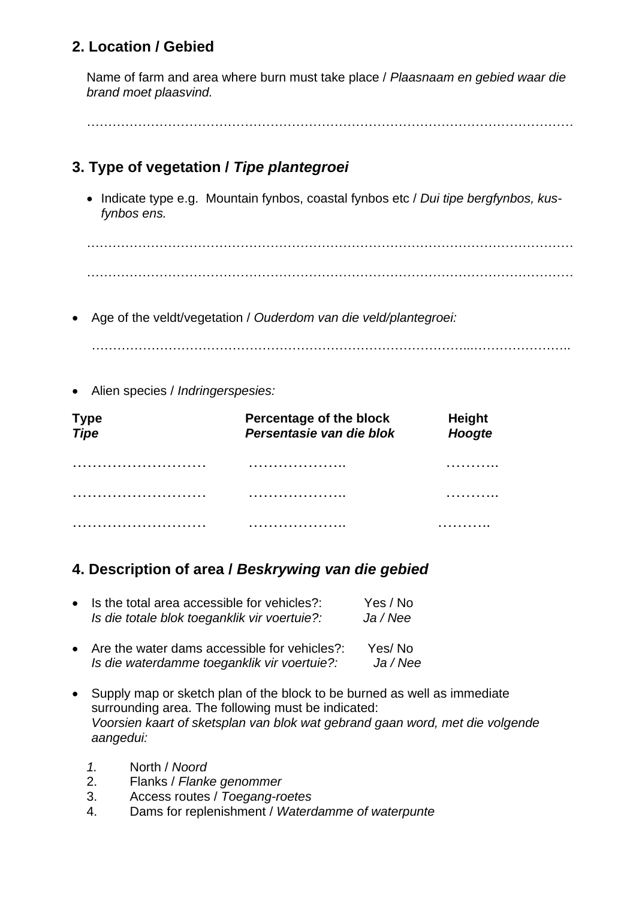# **2. Location / Gebied**

Name of farm and area where burn must take place / *Plaasnaam en gebied waar die brand moet plaasvind.*

……………………………………………………………………………………………………

# **3. Type of vegetation /** *Tipe plantegroei*

• Indicate type e.g. Mountain fynbos, coastal fynbos etc / *Dui tipe bergfynbos, kusfynbos ens.*

…………………………………………………………………………………………………… ……………………………………………………………………………………………………

• Age of the veldt/vegetation / *Ouderdom van die veld/plantegroei:*

……………………………………………………………………………...…………………..

• Alien species / *Indringerspesies:*

| Type<br><i>Tip</i> e | Percentage of the block<br>Persentasie van die blok | <b>Height</b><br>Hoogte |
|----------------------|-----------------------------------------------------|-------------------------|
|                      | .                                                   |                         |
|                      |                                                     |                         |
|                      |                                                     |                         |

### **4. Description of area /** *Beskrywing van die gebied*

| • Is the total area accessible for vehicles?:<br>Is die totale blok toeganklik vir voertuie?: | Yes / No<br>Ja/Nee |
|-----------------------------------------------------------------------------------------------|--------------------|
| • Are the water dams accessible for vehicles?:<br>Is die waterdamme toeganklik vir voertuie?: | Yes/No<br>Ja/Nee   |

- Supply map or sketch plan of the block to be burned as well as immediate surrounding area. The following must be indicated: *Voorsien kaart of sketsplan van blok wat gebrand gaan word, met die volgende aangedui:* 
	- *1.* North / *Noord*
	- 2. Flanks / *Flanke genommer*
	- 3. Access routes / *Toegang-roetes*
	- 4. Dams for replenishment / *Waterdamme of waterpunte*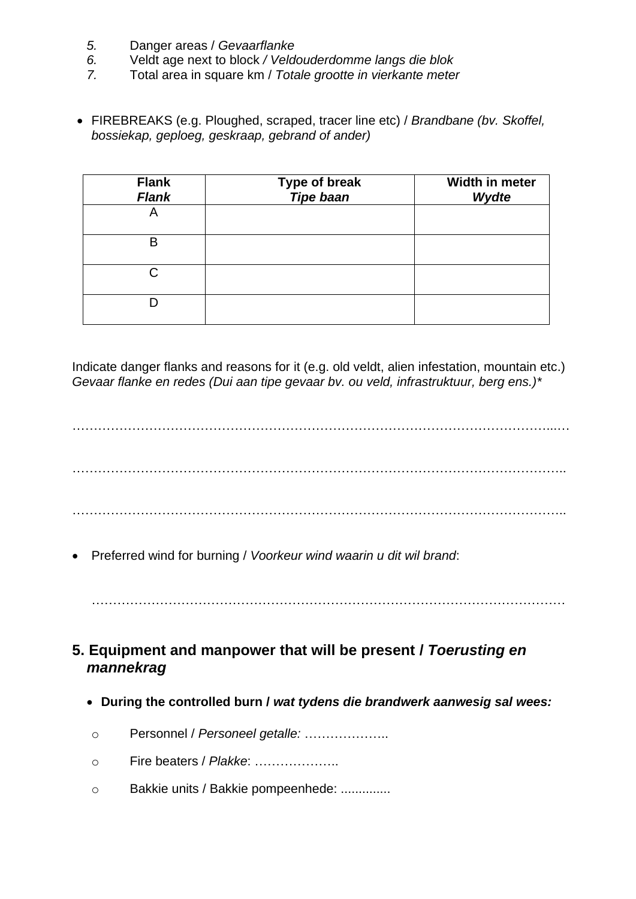- *5.* Danger areas / *Gevaarflanke*
- *6.* Veldt age next to block */ Veldouderdomme langs die blok*
- *7.* Total area in square km / *Totale grootte in vierkante meter*
- FIREBREAKS (e.g. Ploughed, scraped, tracer line etc) / *Brandbane (bv. Skoffel, bossiekap, geploeg, geskraap, gebrand of ander)*

| <b>Flank</b><br><b>Flank</b> | Type of break<br>Tipe baan | Width in meter<br>Wydte |
|------------------------------|----------------------------|-------------------------|
| A                            |                            |                         |
| B                            |                            |                         |
| C                            |                            |                         |
|                              |                            |                         |

Indicate danger flanks and reasons for it (e.g. old veldt, alien infestation, mountain etc.) *Gevaar flanke en redes (Dui aan tipe gevaar bv. ou veld, infrastruktuur, berg ens.)\**

…………………………………………………………………………………………………...… …………………………………………………………………………………………………….. ……………………………………………………………………………………………………..

• Preferred wind for burning / *Voorkeur wind waarin u dit wil brand*:

…………………………………………………………………………………………………

- **5. Equipment and manpower that will be present /** *Toerusting en mannekrag*
	- **During the controlled burn /** *wat tydens die brandwerk aanwesig sal wees:*
	- o Personnel / *Personeel getalle:* ………………..
	- o Fire beaters / *Plakke*: ………………..
	- o Bakkie units / Bakkie pompeenhede: ..............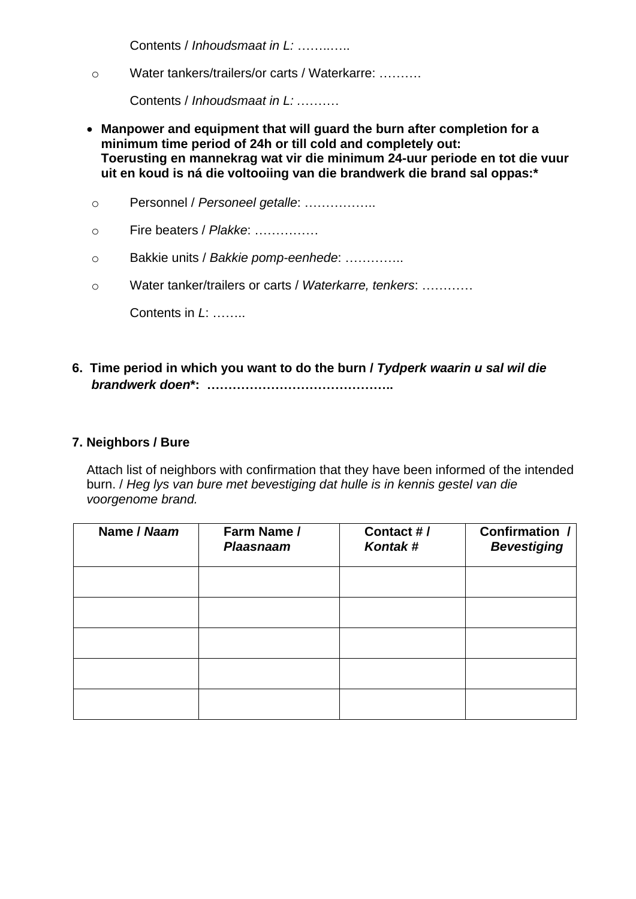Contents / *Inhoudsmaat in L:* ……..…..

o Water tankers/trailers/or carts / Waterkarre: ……….

Contents / *Inhoudsmaat in L: .*………

- **Manpower and equipment that will guard the burn after completion for a minimum time period of 24h or till cold and completely out: Toerusting en mannekrag wat vir die minimum 24-uur periode en tot die vuur uit en koud is ná die voltooiing van die brandwerk die brand sal oppas:\***
- o Personnel / *Personeel getalle*: ……………..
- o Fire beaters / *Plakke*: ……………
- o Bakkie units / *Bakkie pomp-eenhede*: …………..
- o Water tanker/trailers or carts / *Waterkarre, tenkers*: …………

Contents in *L*: ……..

#### **6. Time period in which you want to do the burn /** *Tydperk waarin u sal wil die brandwerk doen***\*: ……………………………………..**

#### **7. Neighbors / Bure**

Attach list of neighbors with confirmation that they have been informed of the intended burn. / *Heg lys van bure met bevestiging dat hulle is in kennis gestel van die voorgenome brand.*

| Name / Naam | Farm Name /<br><b>Plaasnaam</b> | Contact #/<br>Kontak# | <b>Confirmation /</b><br><b>Bevestiging</b> |
|-------------|---------------------------------|-----------------------|---------------------------------------------|
|             |                                 |                       |                                             |
|             |                                 |                       |                                             |
|             |                                 |                       |                                             |
|             |                                 |                       |                                             |
|             |                                 |                       |                                             |